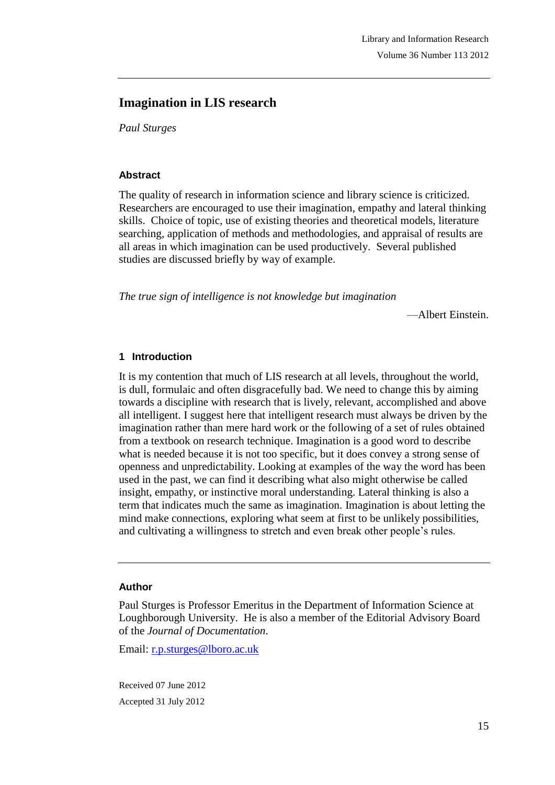# **Imagination in LIS research**

*Paul Sturges*

#### **Abstract**

The quality of research in information science and library science is criticized. Researchers are encouraged to use their imagination, empathy and lateral thinking skills. Choice of topic, use of existing theories and theoretical models, literature searching, application of methods and methodologies, and appraisal of results are all areas in which imagination can be used productively. Several published studies are discussed briefly by way of example.

*The true sign of intelligence is not knowledge but imagination*

—Albert Einstein.

#### **1 Introduction**

It is my contention that much of LIS research at all levels, throughout the world, is dull, formulaic and often disgracefully bad. We need to change this by aiming towards a discipline with research that is lively, relevant, accomplished and above all intelligent. I suggest here that intelligent research must always be driven by the imagination rather than mere hard work or the following of a set of rules obtained from a textbook on research technique. Imagination is a good word to describe what is needed because it is not too specific, but it does convey a strong sense of openness and unpredictability. Looking at examples of the way the word has been used in the past, we can find it describing what also might otherwise be called insight, empathy, or instinctive moral understanding. Lateral thinking is also a term that indicates much the same as imagination. Imagination is about letting the mind make connections, exploring what seem at first to be unlikely possibilities, and cultivating a willingness to stretch and even break other people's rules.

#### **Author**

Paul Sturges is Professor Emeritus in the Department of Information Science at Loughborough University. He is also a member of the Editorial Advisory Board of the *Journal of Documentation*.

Email: r.p.sturges@lboro.ac.uk

Received 07 June 2012 Accepted 31 July 2012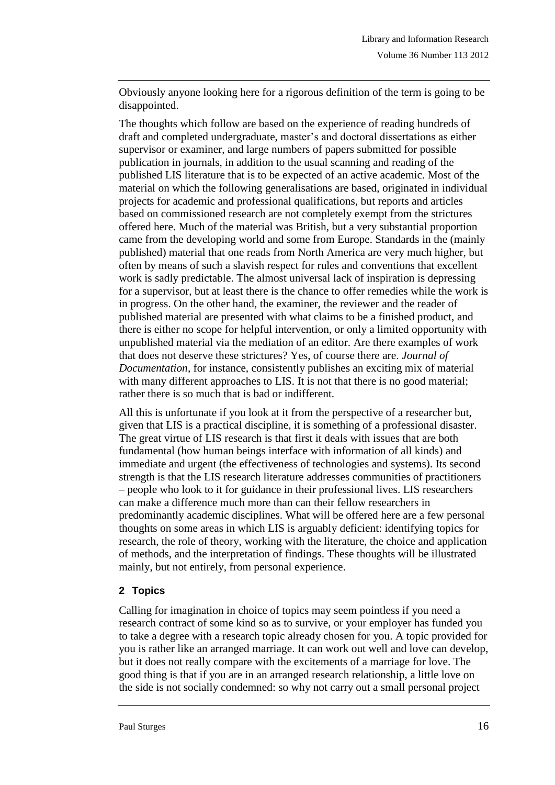Obviously anyone looking here for a rigorous definition of the term is going to be disappointed.

The thoughts which follow are based on the experience of reading hundreds of draft and completed undergraduate, master's and doctoral dissertations as either supervisor or examiner, and large numbers of papers submitted for possible publication in journals, in addition to the usual scanning and reading of the published LIS literature that is to be expected of an active academic. Most of the material on which the following generalisations are based, originated in individual projects for academic and professional qualifications, but reports and articles based on commissioned research are not completely exempt from the strictures offered here. Much of the material was British, but a very substantial proportion came from the developing world and some from Europe. Standards in the (mainly published) material that one reads from North America are very much higher, but often by means of such a slavish respect for rules and conventions that excellent work is sadly predictable. The almost universal lack of inspiration is depressing for a supervisor, but at least there is the chance to offer remedies while the work is in progress. On the other hand, the examiner, the reviewer and the reader of published material are presented with what claims to be a finished product, and there is either no scope for helpful intervention, or only a limited opportunity with unpublished material via the mediation of an editor. Are there examples of work that does not deserve these strictures? Yes, of course there are. *Journal of Documentation*, for instance, consistently publishes an exciting mix of material with many different approaches to LIS. It is not that there is no good material; rather there is so much that is bad or indifferent.

All this is unfortunate if you look at it from the perspective of a researcher but, given that LIS is a practical discipline, it is something of a professional disaster. The great virtue of LIS research is that first it deals with issues that are both fundamental (how human beings interface with information of all kinds) and immediate and urgent (the effectiveness of technologies and systems). Its second strength is that the LIS research literature addresses communities of practitioners – people who look to it for guidance in their professional lives. LIS researchers can make a difference much more than can their fellow researchers in predominantly academic disciplines. What will be offered here are a few personal thoughts on some areas in which LIS is arguably deficient: identifying topics for research, the role of theory, working with the literature, the choice and application of methods, and the interpretation of findings. These thoughts will be illustrated mainly, but not entirely, from personal experience.

### **2 Topics**

Calling for imagination in choice of topics may seem pointless if you need a research contract of some kind so as to survive, or your employer has funded you to take a degree with a research topic already chosen for you. A topic provided for you is rather like an arranged marriage. It can work out well and love can develop, but it does not really compare with the excitements of a marriage for love. The good thing is that if you are in an arranged research relationship, a little love on the side is not socially condemned: so why not carry out a small personal project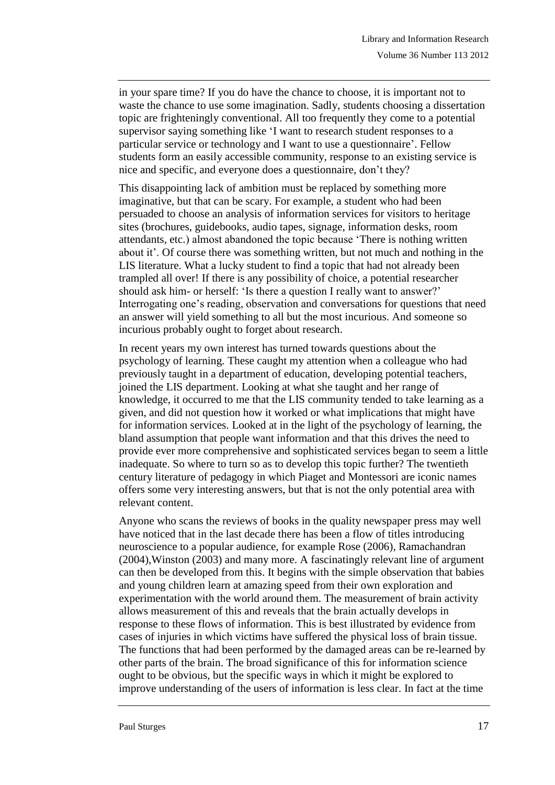in your spare time? If you do have the chance to choose, it is important not to waste the chance to use some imagination. Sadly, students choosing a dissertation topic are frighteningly conventional. All too frequently they come to a potential supervisor saying something like 'I want to research student responses to a particular service or technology and I want to use a questionnaire'. Fellow students form an easily accessible community, response to an existing service is nice and specific, and everyone does a questionnaire, don't they?

This disappointing lack of ambition must be replaced by something more imaginative, but that can be scary. For example, a student who had been persuaded to choose an analysis of information services for visitors to heritage sites (brochures, guidebooks, audio tapes, signage, information desks, room attendants, etc.) almost abandoned the topic because 'There is nothing written about it'. Of course there was something written, but not much and nothing in the LIS literature. What a lucky student to find a topic that had not already been trampled all over! If there is any possibility of choice, a potential researcher should ask him- or herself: 'Is there a question I really want to answer?' Interrogating one's reading, observation and conversations for questions that need an answer will yield something to all but the most incurious. And someone so incurious probably ought to forget about research.

In recent years my own interest has turned towards questions about the psychology of learning. These caught my attention when a colleague who had previously taught in a department of education, developing potential teachers, joined the LIS department. Looking at what she taught and her range of knowledge, it occurred to me that the LIS community tended to take learning as a given, and did not question how it worked or what implications that might have for information services. Looked at in the light of the psychology of learning, the bland assumption that people want information and that this drives the need to provide ever more comprehensive and sophisticated services began to seem a little inadequate. So where to turn so as to develop this topic further? The twentieth century literature of pedagogy in which Piaget and Montessori are iconic names offers some very interesting answers, but that is not the only potential area with relevant content.

Anyone who scans the reviews of books in the quality newspaper press may well have noticed that in the last decade there has been a flow of titles introducing neuroscience to a popular audience, for example Rose (2006), Ramachandran (2004),Winston (2003) and many more. A fascinatingly relevant line of argument can then be developed from this. It begins with the simple observation that babies and young children learn at amazing speed from their own exploration and experimentation with the world around them. The measurement of brain activity allows measurement of this and reveals that the brain actually develops in response to these flows of information. This is best illustrated by evidence from cases of injuries in which victims have suffered the physical loss of brain tissue. The functions that had been performed by the damaged areas can be re-learned by other parts of the brain. The broad significance of this for information science ought to be obvious, but the specific ways in which it might be explored to improve understanding of the users of information is less clear. In fact at the time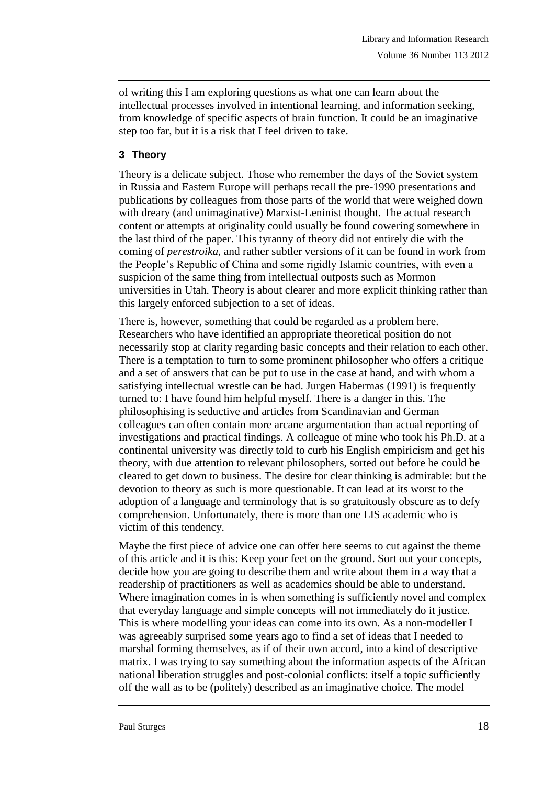of writing this I am exploring questions as what one can learn about the intellectual processes involved in intentional learning, and information seeking, from knowledge of specific aspects of brain function. It could be an imaginative step too far, but it is a risk that I feel driven to take.

# **3 Theory**

Theory is a delicate subject. Those who remember the days of the Soviet system in Russia and Eastern Europe will perhaps recall the pre-1990 presentations and publications by colleagues from those parts of the world that were weighed down with dreary (and unimaginative) Marxist-Leninist thought. The actual research content or attempts at originality could usually be found cowering somewhere in the last third of the paper. This tyranny of theory did not entirely die with the coming of *perestroika*, and rather subtler versions of it can be found in work from the People's Republic of China and some rigidly Islamic countries, with even a suspicion of the same thing from intellectual outposts such as Mormon universities in Utah. Theory is about clearer and more explicit thinking rather than this largely enforced subjection to a set of ideas.

There is, however, something that could be regarded as a problem here. Researchers who have identified an appropriate theoretical position do not necessarily stop at clarity regarding basic concepts and their relation to each other. There is a temptation to turn to some prominent philosopher who offers a critique and a set of answers that can be put to use in the case at hand, and with whom a satisfying intellectual wrestle can be had. Jurgen Habermas (1991) is frequently turned to: I have found him helpful myself. There is a danger in this. The philosophising is seductive and articles from Scandinavian and German colleagues can often contain more arcane argumentation than actual reporting of investigations and practical findings. A colleague of mine who took his Ph.D. at a continental university was directly told to curb his English empiricism and get his theory, with due attention to relevant philosophers, sorted out before he could be cleared to get down to business. The desire for clear thinking is admirable: but the devotion to theory as such is more questionable. It can lead at its worst to the adoption of a language and terminology that is so gratuitously obscure as to defy comprehension. Unfortunately, there is more than one LIS academic who is victim of this tendency.

Maybe the first piece of advice one can offer here seems to cut against the theme of this article and it is this: Keep your feet on the ground. Sort out your concepts, decide how you are going to describe them and write about them in a way that a readership of practitioners as well as academics should be able to understand. Where imagination comes in is when something is sufficiently novel and complex that everyday language and simple concepts will not immediately do it justice. This is where modelling your ideas can come into its own. As a non-modeller I was agreeably surprised some years ago to find a set of ideas that I needed to marshal forming themselves, as if of their own accord, into a kind of descriptive matrix. I was trying to say something about the information aspects of the African national liberation struggles and post-colonial conflicts: itself a topic sufficiently off the wall as to be (politely) described as an imaginative choice. The model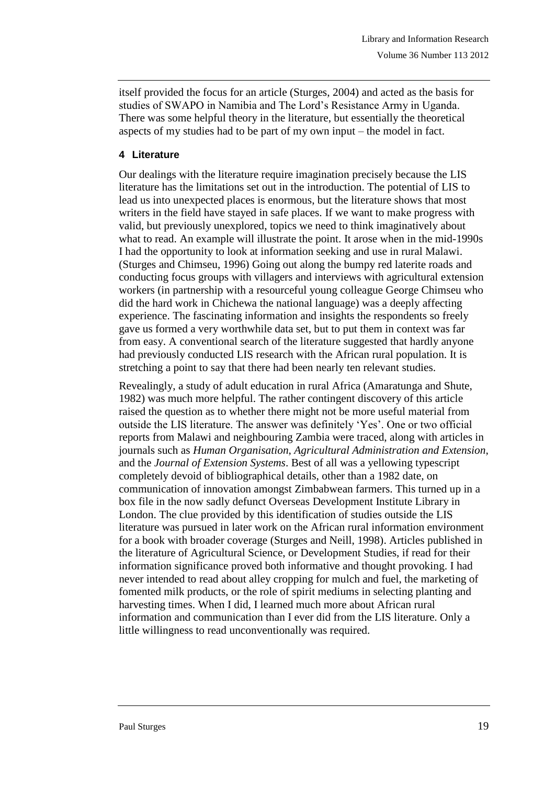itself provided the focus for an article (Sturges, 2004) and acted as the basis for studies of SWAPO in Namibia and The Lord's Resistance Army in Uganda. There was some helpful theory in the literature, but essentially the theoretical aspects of my studies had to be part of my own input – the model in fact.

## **4 Literature**

Our dealings with the literature require imagination precisely because the LIS literature has the limitations set out in the introduction. The potential of LIS to lead us into unexpected places is enormous, but the literature shows that most writers in the field have stayed in safe places. If we want to make progress with valid, but previously unexplored, topics we need to think imaginatively about what to read. An example will illustrate the point. It arose when in the mid-1990s I had the opportunity to look at information seeking and use in rural Malawi. (Sturges and Chimseu, 1996) Going out along the bumpy red laterite roads and conducting focus groups with villagers and interviews with agricultural extension workers (in partnership with a resourceful young colleague George Chimseu who did the hard work in Chichewa the national language) was a deeply affecting experience. The fascinating information and insights the respondents so freely gave us formed a very worthwhile data set, but to put them in context was far from easy. A conventional search of the literature suggested that hardly anyone had previously conducted LIS research with the African rural population. It is stretching a point to say that there had been nearly ten relevant studies.

Revealingly, a study of adult education in rural Africa (Amaratunga and Shute, 1982) was much more helpful. The rather contingent discovery of this article raised the question as to whether there might not be more useful material from outside the LIS literature. The answer was definitely 'Yes'. One or two official reports from Malawi and neighbouring Zambia were traced, along with articles in journals such as *Human Organisation*, *Agricultural Administration and Extension*, and the *Journal of Extension Systems*. Best of all was a yellowing typescript completely devoid of bibliographical details, other than a 1982 date, on communication of innovation amongst Zimbabwean farmers. This turned up in a box file in the now sadly defunct Overseas Development Institute Library in London. The clue provided by this identification of studies outside the LIS literature was pursued in later work on the African rural information environment for a book with broader coverage (Sturges and Neill, 1998). Articles published in the literature of Agricultural Science, or Development Studies, if read for their information significance proved both informative and thought provoking. I had never intended to read about alley cropping for mulch and fuel, the marketing of fomented milk products, or the role of spirit mediums in selecting planting and harvesting times. When I did, I learned much more about African rural information and communication than I ever did from the LIS literature. Only a little willingness to read unconventionally was required.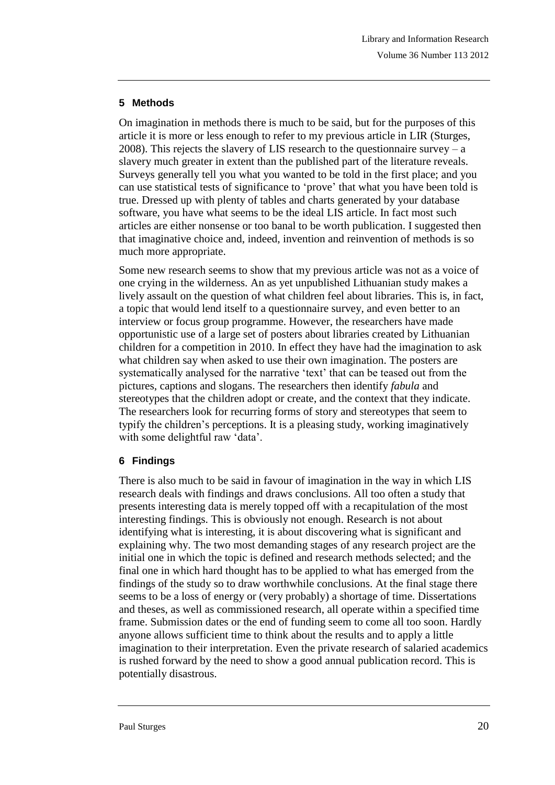## **5 Methods**

On imagination in methods there is much to be said, but for the purposes of this article it is more or less enough to refer to my previous article in LIR (Sturges, 2008). This rejects the slavery of LIS research to the questionnaire survey  $- a$ slavery much greater in extent than the published part of the literature reveals. Surveys generally tell you what you wanted to be told in the first place; and you can use statistical tests of significance to 'prove' that what you have been told is true. Dressed up with plenty of tables and charts generated by your database software, you have what seems to be the ideal LIS article. In fact most such articles are either nonsense or too banal to be worth publication. I suggested then that imaginative choice and, indeed, invention and reinvention of methods is so much more appropriate.

Some new research seems to show that my previous article was not as a voice of one crying in the wilderness. An as yet unpublished Lithuanian study makes a lively assault on the question of what children feel about libraries. This is, in fact, a topic that would lend itself to a questionnaire survey, and even better to an interview or focus group programme. However, the researchers have made opportunistic use of a large set of posters about libraries created by Lithuanian children for a competition in 2010. In effect they have had the imagination to ask what children say when asked to use their own imagination. The posters are systematically analysed for the narrative 'text' that can be teased out from the pictures, captions and slogans. The researchers then identify *fabula* and stereotypes that the children adopt or create, and the context that they indicate. The researchers look for recurring forms of story and stereotypes that seem to typify the children's perceptions. It is a pleasing study, working imaginatively with some delightful raw 'data'.

### **6 Findings**

There is also much to be said in favour of imagination in the way in which LIS research deals with findings and draws conclusions. All too often a study that presents interesting data is merely topped off with a recapitulation of the most interesting findings. This is obviously not enough. Research is not about identifying what is interesting, it is about discovering what is significant and explaining why. The two most demanding stages of any research project are the initial one in which the topic is defined and research methods selected; and the final one in which hard thought has to be applied to what has emerged from the findings of the study so to draw worthwhile conclusions. At the final stage there seems to be a loss of energy or (very probably) a shortage of time. Dissertations and theses, as well as commissioned research, all operate within a specified time frame. Submission dates or the end of funding seem to come all too soon. Hardly anyone allows sufficient time to think about the results and to apply a little imagination to their interpretation. Even the private research of salaried academics is rushed forward by the need to show a good annual publication record. This is potentially disastrous.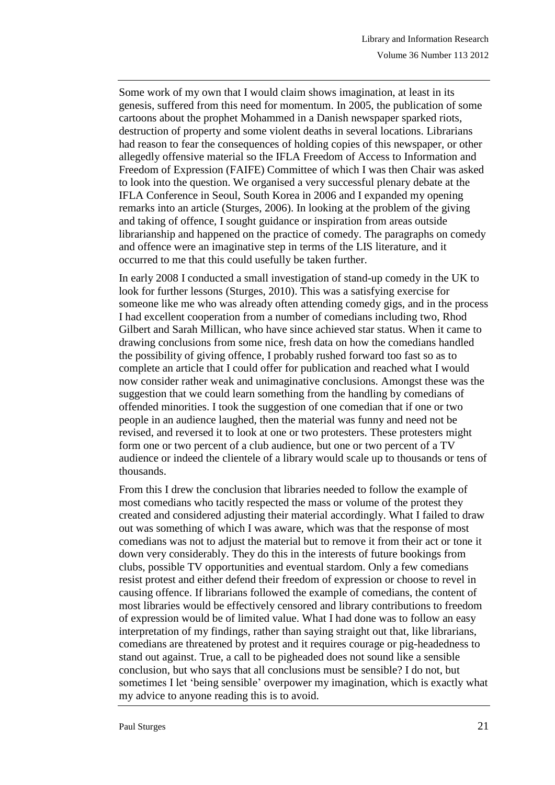Some work of my own that I would claim shows imagination, at least in its genesis, suffered from this need for momentum. In 2005, the publication of some cartoons about the prophet Mohammed in a Danish newspaper sparked riots, destruction of property and some violent deaths in several locations. Librarians had reason to fear the consequences of holding copies of this newspaper, or other allegedly offensive material so the IFLA Freedom of Access to Information and Freedom of Expression (FAIFE) Committee of which I was then Chair was asked to look into the question. We organised a very successful plenary debate at the IFLA Conference in Seoul, South Korea in 2006 and I expanded my opening remarks into an article (Sturges, 2006). In looking at the problem of the giving and taking of offence, I sought guidance or inspiration from areas outside librarianship and happened on the practice of comedy. The paragraphs on comedy and offence were an imaginative step in terms of the LIS literature, and it occurred to me that this could usefully be taken further.

In early 2008 I conducted a small investigation of stand-up comedy in the UK to look for further lessons (Sturges, 2010). This was a satisfying exercise for someone like me who was already often attending comedy gigs, and in the process I had excellent cooperation from a number of comedians including two, Rhod Gilbert and Sarah Millican, who have since achieved star status. When it came to drawing conclusions from some nice, fresh data on how the comedians handled the possibility of giving offence, I probably rushed forward too fast so as to complete an article that I could offer for publication and reached what I would now consider rather weak and unimaginative conclusions. Amongst these was the suggestion that we could learn something from the handling by comedians of offended minorities. I took the suggestion of one comedian that if one or two people in an audience laughed, then the material was funny and need not be revised, and reversed it to look at one or two protesters. These protesters might form one or two percent of a club audience, but one or two percent of a TV audience or indeed the clientele of a library would scale up to thousands or tens of thousands.

From this I drew the conclusion that libraries needed to follow the example of most comedians who tacitly respected the mass or volume of the protest they created and considered adjusting their material accordingly. What I failed to draw out was something of which I was aware, which was that the response of most comedians was not to adjust the material but to remove it from their act or tone it down very considerably. They do this in the interests of future bookings from clubs, possible TV opportunities and eventual stardom. Only a few comedians resist protest and either defend their freedom of expression or choose to revel in causing offence. If librarians followed the example of comedians, the content of most libraries would be effectively censored and library contributions to freedom of expression would be of limited value. What I had done was to follow an easy interpretation of my findings, rather than saying straight out that, like librarians, comedians are threatened by protest and it requires courage or pig-headedness to stand out against. True, a call to be pigheaded does not sound like a sensible conclusion, but who says that all conclusions must be sensible? I do not, but sometimes I let 'being sensible' overpower my imagination, which is exactly what my advice to anyone reading this is to avoid.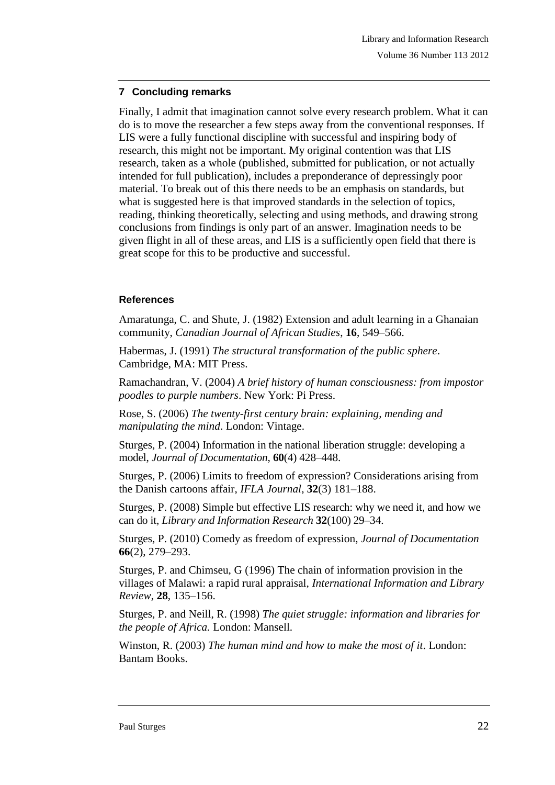## **7 Concluding remarks**

Finally, I admit that imagination cannot solve every research problem. What it can do is to move the researcher a few steps away from the conventional responses. If LIS were a fully functional discipline with successful and inspiring body of research, this might not be important. My original contention was that LIS research, taken as a whole (published, submitted for publication, or not actually intended for full publication), includes a preponderance of depressingly poor material. To break out of this there needs to be an emphasis on standards, but what is suggested here is that improved standards in the selection of topics, reading, thinking theoretically, selecting and using methods, and drawing strong conclusions from findings is only part of an answer. Imagination needs to be given flight in all of these areas, and LIS is a sufficiently open field that there is great scope for this to be productive and successful.

## **References**

Amaratunga, C. and Shute, J. (1982) Extension and adult learning in a Ghanaian community, *Canadian Journal of African Studies*, **16**, 549–566.

Habermas, J. (1991) *The structural transformation of the public sphere*. Cambridge, MA: MIT Press.

Ramachandran, V. (2004) *A brief history of human consciousness: from impostor poodles to purple numbers*. New York: Pi Press.

Rose, S. (2006) *The twenty-first century brain: explaining, mending and manipulating the mind*. London: Vintage.

Sturges, P. (2004) Information in the national liberation struggle: developing a model, *Journal of Documentation*, **60**(4) 428–448.

Sturges, P. (2006) Limits to freedom of expression? Considerations arising from the Danish cartoons affair, *IFLA Journal*, **32**(3) 181–188.

Sturges, P. (2008) Simple but effective LIS research: why we need it, and how we can do it, *Library and Information Research* **32**(100) 29–34.

Sturges, P. (2010) Comedy as freedom of expression, *Journal of Documentation* **66**(2), 279–293.

Sturges, P. and Chimseu, G (1996) The chain of information provision in the villages of Malawi: a rapid rural appraisal, *International Information and Library Review*, **28**, 135–156.

Sturges, P. and Neill, R. (1998) *The quiet struggle: information and libraries for the people of Africa.* London: Mansell.

Winston, R. (2003) *The human mind and how to make the most of it*. London: Bantam Books.